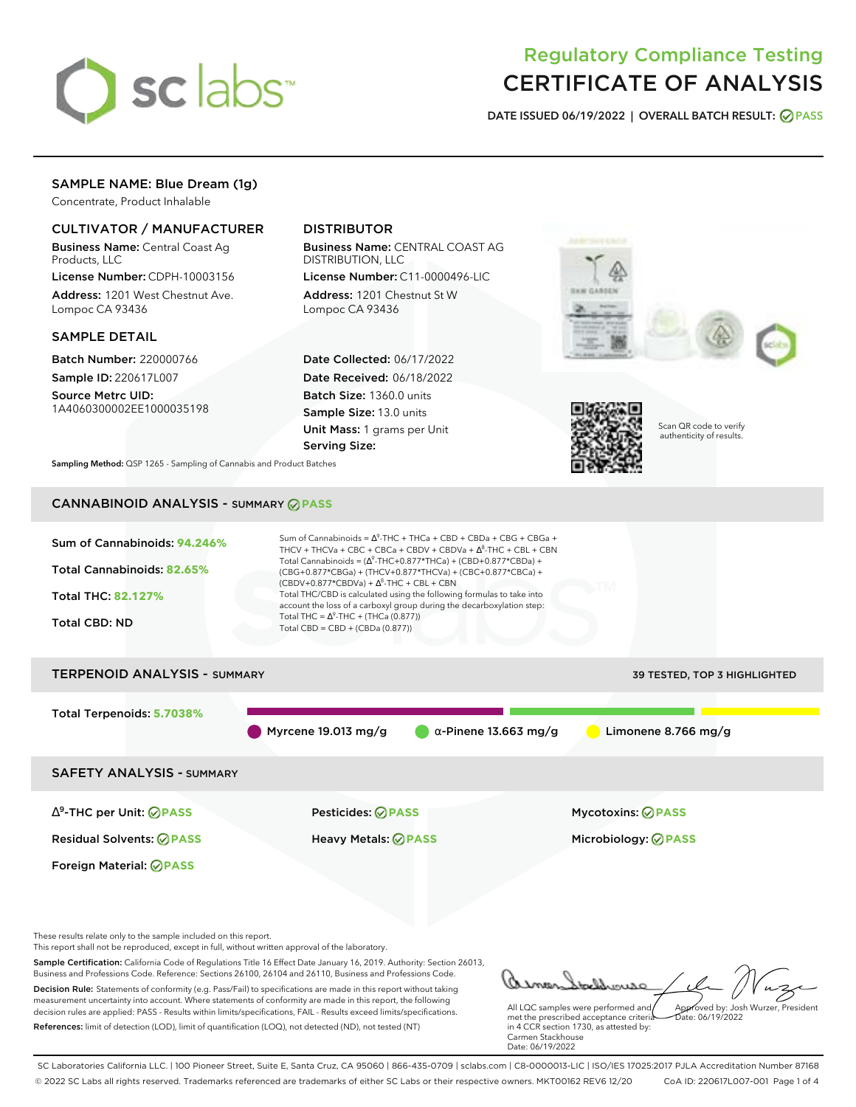

# Regulatory Compliance Testing CERTIFICATE OF ANALYSIS

**DATE ISSUED 06/19/2022 | OVERALL BATCH RESULT: PASS**

# SAMPLE NAME: Blue Dream (1g)

Concentrate, Product Inhalable

## CULTIVATOR / MANUFACTURER

Business Name: Central Coast Ag Products, LLC

License Number: CDPH-10003156 Address: 1201 West Chestnut Ave. Lompoc CA 93436

### SAMPLE DETAIL

Batch Number: 220000766 Sample ID: 220617L007

Source Metrc UID: 1A4060300002EE1000035198

# DISTRIBUTOR

Business Name: CENTRAL COAST AG DISTRIBUTION, LLC

License Number: C11-0000496-LIC Address: 1201 Chestnut St W Lompoc CA 93436

Date Collected: 06/17/2022 Date Received: 06/18/2022 Batch Size: 1360.0 units Sample Size: 13.0 units Unit Mass: 1 grams per Unit Serving Size:





Scan QR code to verify authenticity of results.

**Sampling Method:** QSP 1265 - Sampling of Cannabis and Product Batches

# CANNABINOID ANALYSIS - SUMMARY **PASS**



Sample Certification: California Code of Regulations Title 16 Effect Date January 16, 2019. Authority: Section 26013, Business and Professions Code. Reference: Sections 26100, 26104 and 26110, Business and Professions Code. Decision Rule: Statements of conformity (e.g. Pass/Fail) to specifications are made in this report without taking measurement uncertainty into account. Where statements of conformity are made in this report, the following decision rules are applied: PASS - Results within limits/specifications, FAIL - Results exceed limits/specifications.

References: limit of detection (LOD), limit of quantification (LOQ), not detected (ND), not tested (NT)

All LQC samples were performed and met the prescribed acceptance criteria in 4 CCR section 1730, as attested by: Carmen Stackhouse Approved by: Josh Wurzer, President Date: 06/19/2022

Date: 06/19/2022

SC Laboratories California LLC. | 100 Pioneer Street, Suite E, Santa Cruz, CA 95060 | 866-435-0709 | sclabs.com | C8-0000013-LIC | ISO/IES 17025:2017 PJLA Accreditation Number 87168 © 2022 SC Labs all rights reserved. Trademarks referenced are trademarks of either SC Labs or their respective owners. MKT00162 REV6 12/20 CoA ID: 220617L007-001 Page 1 of 4